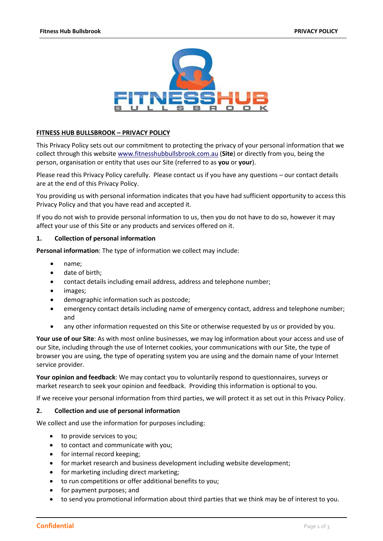

## **FITNESS HUB BULLSBROOK – PRIVACY POLICY**

This Privacy Policy sets out our commitment to protecting the privacy of your personal information that we collect through this website [www.fitnesshubbullsbrook.com.au](http://www.fitnesshubbullsbrook.com.au/) (**Site**) or directly from you, being the person, organisation or entity that uses our Site (referred to as **you** or **your**).

Please read this Privacy Policy carefully. Please contact us if you have any questions – our contact details are at the end of this Privacy Policy.

You providing us with personal information indicates that you have had sufficient opportunity to access this Privacy Policy and that you have read and accepted it.

If you do not wish to provide personal information to us, then you do not have to do so, however it may affect your use of this Site or any products and services offered on it.

#### **1. Collection of personal information**

**Personal information**: The type of information we collect may include:

- name;
- date of birth;
- contact details including email address, address and telephone number;
- images;
- demographic information such as postcode;
- emergency contact details including name of emergency contact, address and telephone number; and
- any other information requested on this Site or otherwise requested by us or provided by you.

**Your use of our Site**: As with most online businesses, we may log information about your access and use of our Site, including through the use of Internet cookies, your communications with our Site, the type of browser you are using, the type of operating system you are using and the domain name of your Internet service provider.

**Your opinion and feedback**: We may contact you to voluntarily respond to questionnaires, surveys or market research to seek your opinion and feedback. Providing this information is optional to you.

If we receive your personal information from third parties, we will protect it as set out in this Privacy Policy.

#### **2. Collection and use of personal information**

We collect and use the information for purposes including:

- to provide services to you;
- to contact and communicate with you;
- for internal record keeping;
- for market research and business development including website development;
- for marketing including direct marketing;
- to run competitions or offer additional benefits to you;
- for payment purposes; and
- to send you promotional information about third parties that we think may be of interest to you.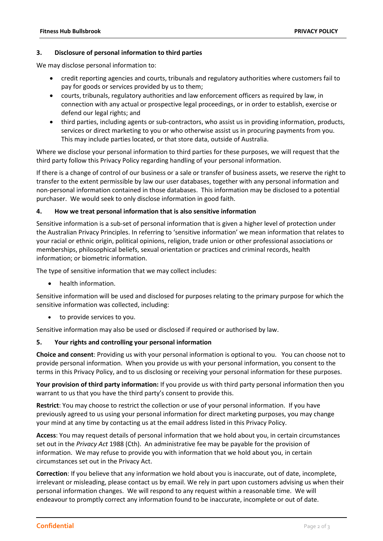#### **3. Disclosure of personal information to third parties**

We may disclose personal information to:

- credit reporting agencies and courts, tribunals and regulatory authorities where customers fail to pay for goods or services provided by us to them;
- courts, tribunals, regulatory authorities and law enforcement officers as required by law, in connection with any actual or prospective legal proceedings, or in order to establish, exercise or defend our legal rights; and
- third parties, including agents or sub-contractors, who assist us in providing information, products, services or direct marketing to you or who otherwise assist us in procuring payments from you. This may include parties located, or that store data, outside of Australia.

Where we disclose your personal information to third parties for these purposes, we will request that the third party follow this Privacy Policy regarding handling of your personal information.

If there is a change of control of our business or a sale or transfer of business assets, we reserve the right to transfer to the extent permissible by law our user databases, together with any personal information and non-personal information contained in those databases. This information may be disclosed to a potential purchaser. We would seek to only disclose information in good faith.

#### **4. How we treat personal information that is also sensitive information**

Sensitive information is a sub-set of personal information that is given a higher level of protection under the Australian Privacy Principles. In referring to 'sensitive information' we mean information that relates to your racial or ethnic origin, political opinions, religion, trade union or other professional associations or memberships, philosophical beliefs, sexual orientation or practices and criminal records, health information; or biometric information.

The type of sensitive information that we may collect includes:

health information.

Sensitive information will be used and disclosed for purposes relating to the primary purpose for which the sensitive information was collected, including:

to provide services to you.

Sensitive information may also be used or disclosed if required or authorised by law.

## **5. Your rights and controlling your personal information**

**Choice and consent**: Providing us with your personal information is optional to you. You can choose not to provide personal information. When you provide us with your personal information, you consent to the terms in this Privacy Policy, and to us disclosing or receiving your personal information for these purposes.

**Your provision of third party information:** If you provide us with third party personal information then you warrant to us that you have the third party's consent to provide this.

**Restrict**: You may choose to restrict the collection or use of your personal information. If you have previously agreed to us using your personal information for direct marketing purposes, you may change your mind at any time by contacting us at the email address listed in this Privacy Policy.

**Access**: You may request details of personal information that we hold about you, in certain circumstances set out in the *Privacy Act* 1988 (Cth). An administrative fee may be payable for the provision of information. We may refuse to provide you with information that we hold about you, in certain circumstances set out in the Privacy Act.

**Correction**: If you believe that any information we hold about you is inaccurate, out of date, incomplete, irrelevant or misleading, please contact us by email. We rely in part upon customers advising us when their personal information changes. We will respond to any request within a reasonable time. We will endeavour to promptly correct any information found to be inaccurate, incomplete or out of date.